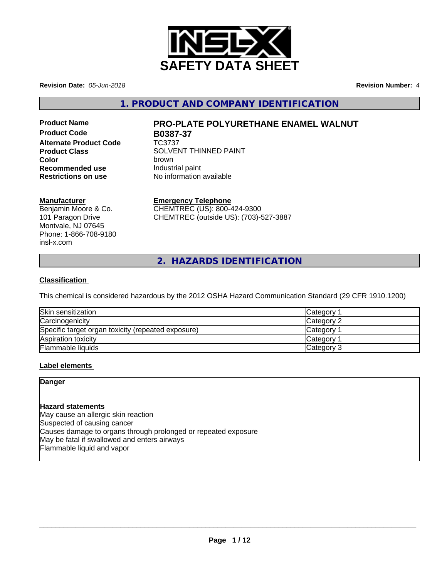

**Revision Date:** *05-Jun-2018* **Revision Number:** *4*

**1. PRODUCT AND COMPANY IDENTIFICATION**

**Product Code B0387-37 Alternate Product Code** TC3737 **Recommended use Industrial paint**<br> **Restrictions on use No information** 

# **Product Name PRO-PLATE POLYURETHANE ENAMEL WALNUT**

**Product Class SOLVENT THINNED PAINT Color** brown **No information available** 

## **Manufacturer**

Benjamin Moore & Co. 101 Paragon Drive Montvale, NJ 07645 Phone: 1-866-708-9180 insl-x.com

## **Emergency Telephone**

CHEMTREC (US): 800-424-9300 CHEMTREC (outside US): (703)-527-3887

**2. HAZARDS IDENTIFICATION**

## **Classification**

This chemical is considered hazardous by the 2012 OSHA Hazard Communication Standard (29 CFR 1910.1200)

| Skin sensitization                                 | Category        |
|----------------------------------------------------|-----------------|
| Carcinogenicity                                    | Category 2      |
| Specific target organ toxicity (repeated exposure) | Category        |
| Aspiration toxicity                                | <b>Category</b> |
| Flammable liquids                                  | Category 3      |

## **Label elements**

## **Danger**

## **Hazard statements**

May cause an allergic skin reaction Suspected of causing cancer Causes damage to organs through prolonged or repeated exposure May be fatal if swallowed and enters airways Flammable liquid and vapor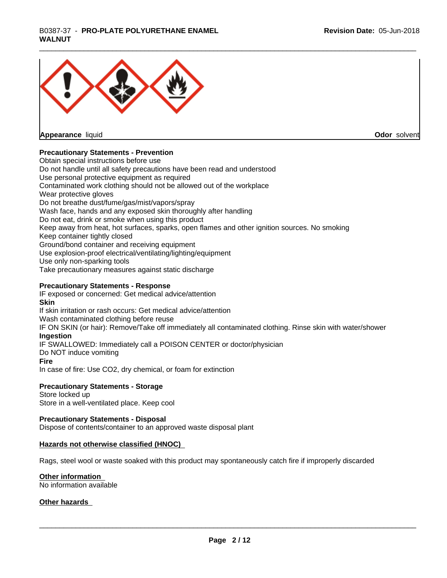# \_\_\_\_\_\_\_\_\_\_\_\_\_\_\_\_\_\_\_\_\_\_\_\_\_\_\_\_\_\_\_\_\_\_\_\_\_\_\_\_\_\_\_\_\_\_\_\_\_\_\_\_\_\_\_\_\_\_\_\_\_\_\_\_\_\_\_\_\_\_\_\_\_\_\_\_\_\_\_\_\_\_\_\_\_\_\_\_\_\_\_\_\_ B0387-37 - **PRO-PLATE POLYURETHANE ENAMEL WALNUT**



**Appearance** liquid

**Odor** solvent

## **Precautionary Statements - Prevention**

Obtain special instructions before use Do not handle until all safety precautions have been read and understood Use personal protective equipment as required Contaminated work clothing should not be allowed out of the workplace Wear protective gloves Do not breathe dust/fume/gas/mist/vapors/spray Wash face, hands and any exposed skin thoroughly after handling Do not eat, drink or smoke when using this product Keep away from heat, hot surfaces, sparks, open flames and other ignition sources. No smoking Keep container tightly closed Ground/bond container and receiving equipment Use explosion-proof electrical/ventilating/lighting/equipment Use only non-sparking tools Take precautionary measures against static discharge

## **Precautionary Statements - Response**

IF exposed or concerned: Get medical advice/attention **Skin** If skin irritation or rash occurs: Get medical advice/attention Wash contaminated clothing before reuse IF ON SKIN (or hair): Remove/Take off immediately all contaminated clothing. Rinse skin with water/shower **Ingestion** IF SWALLOWED: Immediately call a POISON CENTER or doctor/physician Do NOT induce vomiting **Fire** In case of fire: Use CO2, dry chemical, or foam for extinction

## **Precautionary Statements - Storage**

Store locked up Store in a well-ventilated place. Keep cool

## **Precautionary Statements - Disposal**

Dispose of contents/container to an approved waste disposal plant

## **Hazards not otherwise classified (HNOC)**

Rags, steel wool or waste soaked with this product may spontaneously catch fire if improperly discarded

## **Other information**

No information available

## **Other hazards**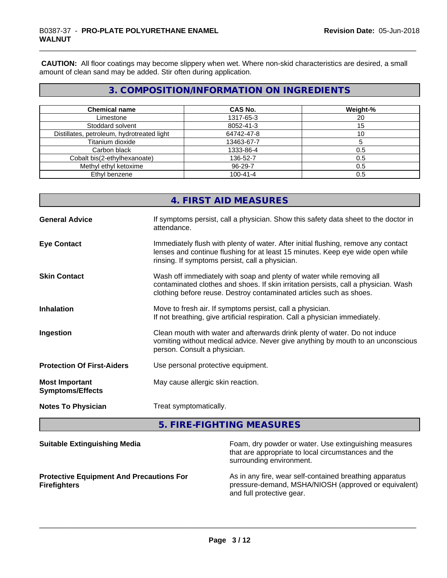**CAUTION:** All floor coatings may become slippery when wet. Where non-skid characteristics are desired, a small amount of clean sand may be added. Stir often during application.

## **3. COMPOSITION/INFORMATION ON INGREDIENTS**

| <b>Chemical name</b>                       | <b>CAS No.</b> | Weight-% |
|--------------------------------------------|----------------|----------|
| Limestone                                  | 1317-65-3      | 20       |
| Stoddard solvent                           | 8052-41-3      | 15       |
| Distillates, petroleum, hydrotreated light | 64742-47-8     |          |
| Titanium dioxide                           | 13463-67-7     |          |
| Carbon black                               | 1333-86-4      | 0.5      |
| Cobalt bis(2-ethylhexanoate)               | 136-52-7       | 0.5      |
| Methyl ethyl ketoxime                      | 96-29-7        | 0.5      |
| Ethyl benzene                              | $100 - 41 - 4$ | 0.5      |

## **4. FIRST AID MEASURES**

| <b>General Advice</b>                            | If symptoms persist, call a physician. Show this safety data sheet to the doctor in<br>attendance.                                                                                                                                  |
|--------------------------------------------------|-------------------------------------------------------------------------------------------------------------------------------------------------------------------------------------------------------------------------------------|
| <b>Eye Contact</b>                               | Immediately flush with plenty of water. After initial flushing, remove any contact<br>lenses and continue flushing for at least 15 minutes. Keep eye wide open while<br>rinsing. If symptoms persist, call a physician.             |
| <b>Skin Contact</b>                              | Wash off immediately with soap and plenty of water while removing all<br>contaminated clothes and shoes. If skin irritation persists, call a physician. Wash<br>clothing before reuse. Destroy contaminated articles such as shoes. |
| <b>Inhalation</b>                                | Move to fresh air. If symptoms persist, call a physician.<br>If not breathing, give artificial respiration. Call a physician immediately.                                                                                           |
| Ingestion                                        | Clean mouth with water and afterwards drink plenty of water. Do not induce<br>vomiting without medical advice. Never give anything by mouth to an unconscious<br>person. Consult a physician.                                       |
| <b>Protection Of First-Aiders</b>                | Use personal protective equipment.                                                                                                                                                                                                  |
| <b>Most Important</b><br><b>Symptoms/Effects</b> | May cause allergic skin reaction.                                                                                                                                                                                                   |
| <b>Notes To Physician</b>                        | Treat symptomatically.                                                                                                                                                                                                              |

**5. FIRE-FIGHTING MEASURES**

| <b>Suitable Extinguishing Media</b>                                    | Foam, dry powder or water. Use extinguishing measures<br>that are appropriate to local circumstances and the<br>surrounding environment.     |
|------------------------------------------------------------------------|----------------------------------------------------------------------------------------------------------------------------------------------|
| <b>Protective Equipment And Precautions For</b><br><b>Firefighters</b> | As in any fire, wear self-contained breathing apparatus<br>pressure-demand, MSHA/NIOSH (approved or equivalent)<br>and full protective gear. |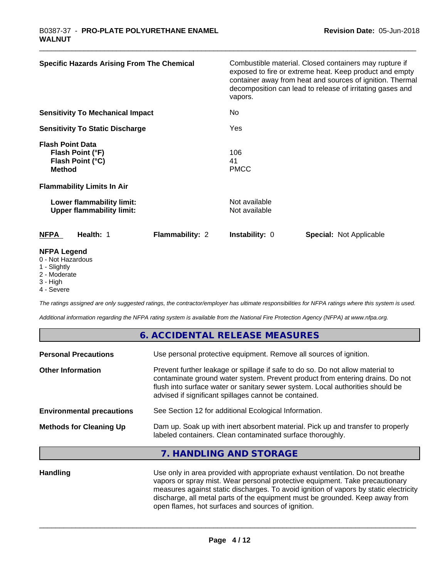| <b>Specific Hazards Arising From The Chemical</b>                                | Combustible material. Closed containers may rupture if<br>exposed to fire or extreme heat. Keep product and empty<br>container away from heat and sources of ignition. Thermal<br>decomposition can lead to release of irritating gases and<br>vapors. |
|----------------------------------------------------------------------------------|--------------------------------------------------------------------------------------------------------------------------------------------------------------------------------------------------------------------------------------------------------|
| <b>Sensitivity To Mechanical Impact</b>                                          | No                                                                                                                                                                                                                                                     |
| <b>Sensitivity To Static Discharge</b>                                           | Yes                                                                                                                                                                                                                                                    |
| <b>Flash Point Data</b><br>Flash Point (°F)<br>Flash Point (°C)<br><b>Method</b> | 106<br>41<br><b>PMCC</b>                                                                                                                                                                                                                               |
| <b>Flammability Limits In Air</b>                                                |                                                                                                                                                                                                                                                        |
| Lower flammability limit:<br><b>Upper flammability limit:</b>                    | Not available<br>Not available                                                                                                                                                                                                                         |
| <b>Flammability: 2</b><br><b>NFPA</b><br>Health: 1                               | <b>Instability: 0</b><br><b>Special: Not Applicable</b>                                                                                                                                                                                                |
| <b>NFPA Legend</b><br>0 - Not Hazardous<br>1 - Slightly                          |                                                                                                                                                                                                                                                        |

- 1 Slightly
- 2 Moderate
- 3 High 4 - Severe

*The ratings assigned are only suggested ratings, the contractor/employer has ultimate responsibilities for NFPA ratings where this system is used.*

*Additional information regarding the NFPA rating system is available from the National Fire Protection Agency (NFPA) at www.nfpa.org.*

|                                  | 6. ACCIDENTAL RELEASE MEASURES                                                                                                                                                                                                                                                                             |
|----------------------------------|------------------------------------------------------------------------------------------------------------------------------------------------------------------------------------------------------------------------------------------------------------------------------------------------------------|
| <b>Personal Precautions</b>      | Use personal protective equipment. Remove all sources of ignition.                                                                                                                                                                                                                                         |
| <b>Other Information</b>         | Prevent further leakage or spillage if safe to do so. Do not allow material to<br>contaminate ground water system. Prevent product from entering drains. Do not<br>flush into surface water or sanitary sewer system. Local authorities should be<br>advised if significant spillages cannot be contained. |
| <b>Environmental precautions</b> | See Section 12 for additional Ecological Information.                                                                                                                                                                                                                                                      |
| <b>Methods for Cleaning Up</b>   | Dam up. Soak up with inert absorbent material. Pick up and transfer to properly<br>labeled containers. Clean contaminated surface thoroughly.                                                                                                                                                              |
|                                  | 7. HANDLING AND STORAGE                                                                                                                                                                                                                                                                                    |
|                                  |                                                                                                                                                                                                                                                                                                            |

Handling **Handling** Use only in area provided with appropriate exhaust ventilation. Do not breathe vapors or spray mist. Wear personal protective equipment. Take precautionary measures against static discharges. To avoid ignition of vapors by static electricity discharge, all metal parts of the equipment must be grounded. Keep away from open flames, hot surfaces and sources of ignition.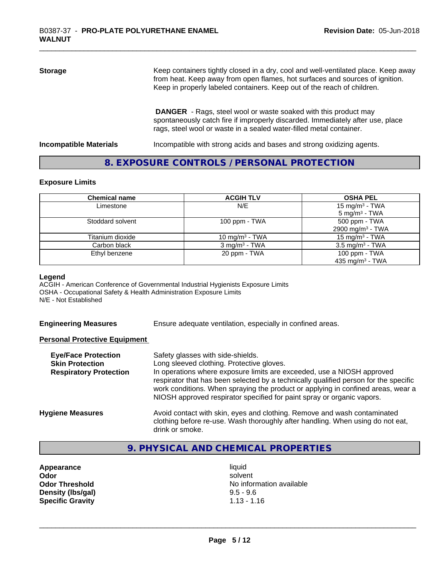# **Storage** Keep containers tightly closed in a dry, cool and well-ventilated place. Keep away from heat. Keep away from open flames, hot surfaces and sources of ignition. Keep in properly labeled containers. Keep out of the reach of children.  **DANGER** - Rags, steel wool or waste soaked with this product may spontaneously catch fire if improperly discarded. Immediately after use, place

**Incompatible Materials Incompatible with strong acids and bases and strong oxidizing agents.** 

rags, steel wool or waste in a sealed water-filled metal container.

## **8. EXPOSURE CONTROLS / PERSONAL PROTECTION**

#### **Exposure Limits**

| <b>Chemical name</b> | <b>ACGIH TLV</b>         | <b>OSHA PEL</b>                                         |
|----------------------|--------------------------|---------------------------------------------------------|
| Limestone            | N/E                      | 15 mg/m <sup>3</sup> - TWA<br>5 mg/m <sup>3</sup> - TWA |
| Stoddard solvent     | 100 ppm $-$ TWA          | 500 ppm - TWA                                           |
|                      |                          | 2900 mg/m <sup>3</sup> - TWA                            |
| Titanium dioxide     | 10 mg/m $3$ - TWA        | 15 mg/m <sup>3</sup> - TWA                              |
| Carbon black         | $3 \text{ mg/m}^3$ - TWA | $3.5 \text{ mg/m}^3$ - TWA                              |
| Ethyl benzene        | 20 ppm - TWA             | 100 ppm - TWA                                           |
|                      |                          | 435 mg/m <sup>3</sup> - TWA                             |

#### **Legend**

ACGIH - American Conference of Governmental Industrial Hygienists Exposure Limits OSHA - Occupational Safety & Health Administration Exposure Limits N/E - Not Established

**Engineering Measures** Ensure adequate ventilation, especially in confined areas.

## **Personal Protective Equipment**

| <b>Eye/Face Protection</b><br><b>Skin Protection</b><br><b>Respiratory Protection</b> | Safety glasses with side-shields.<br>Long sleeved clothing. Protective gloves.<br>In operations where exposure limits are exceeded, use a NIOSH approved<br>respirator that has been selected by a technically qualified person for the specific<br>work conditions. When spraying the product or applying in confined areas, wear a<br>NIOSH approved respirator specified for paint spray or organic vapors. |
|---------------------------------------------------------------------------------------|----------------------------------------------------------------------------------------------------------------------------------------------------------------------------------------------------------------------------------------------------------------------------------------------------------------------------------------------------------------------------------------------------------------|
| <b>Hygiene Measures</b>                                                               | Avoid contact with skin, eyes and clothing. Remove and wash contaminated<br>clothing before re-use. Wash thoroughly after handling. When using do not eat,<br>drink or smoke.                                                                                                                                                                                                                                  |

## **9. PHYSICAL AND CHEMICAL PROPERTIES**

**Appearance** liquid **Density (lbs/gal)** 9.5 - 9.6<br> **Specific Gravity** 1.13 - 1.16 **Specific Gravity** 

**Odor** solvent **Odor Threshold** No information available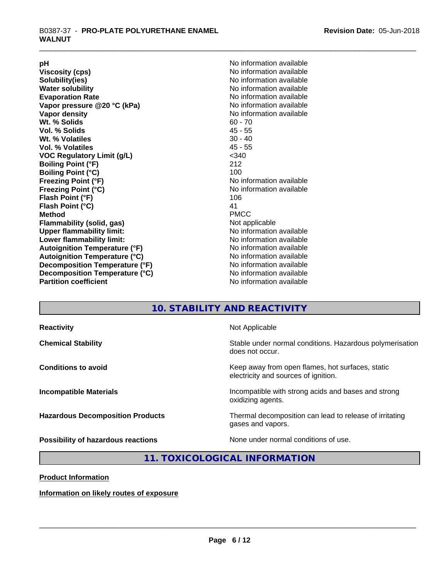**Viscosity (cps)** <br> **Viscosity (cps)** No information available<br>
No information available<br>
No information available **Water solubility**<br> **Evaporation Rate**<br> **Evaporation Rate**<br> **Evaporation Rate Vapor** pressure @20 °C (kPa) **Vapor density No information available Wt. % Solids** 60 - 70<br> **Vol. % Solids** 60 - 70<br> **Vol. % Solids** 65 **Vol. % Solids Wt.** % Volatiles 30 - 40 **Vol. % Volatiles** 45 - 55 **VOC Regulatory Limit (g/L)** <340 **Boiling Point (°F)** 212 **Boiling Point (°C)**<br>Freezing Point (°F) **Freezing Point (°C)** No information available **Flash Point (°F)** 106 **Flash Point (°C)** 41 **Method** PMCC **Flammability (solid, gas)** Not applicable **Upper flammability limit:** No information available **Lower flammability limit:** No information available **Autoignition Temperature (°F)** No information available **Autoignition Temperature (°C)** No information available **Decomposition Temperature (°F)**<br> **Decomposition Temperature (°C)** No information available<br>
No information available **Decomposition Temperature (°C)**<br>Partition coefficient

**pH**<br>
Viscosity (cps) The Contract of the Contract of the Viscosity (cps) **Solubility(ies)** No information available No information available<br>No information available **No information available No information available** 

## **10. STABILITY AND REACTIVITY**

| <b>Reactivity</b>                       | Not Applicable                                                                           |
|-----------------------------------------|------------------------------------------------------------------------------------------|
| <b>Chemical Stability</b>               | Stable under normal conditions. Hazardous polymerisation<br>does not occur.              |
| <b>Conditions to avoid</b>              | Keep away from open flames, hot surfaces, static<br>electricity and sources of ignition. |
| <b>Incompatible Materials</b>           | Incompatible with strong acids and bases and strong<br>oxidizing agents.                 |
| <b>Hazardous Decomposition Products</b> | Thermal decomposition can lead to release of irritating<br>gases and vapors.             |
| Possibility of hazardous reactions      | None under normal conditions of use.                                                     |

## **11. TOXICOLOGICAL INFORMATION**

**Product Information**

**Information on likely routes of exposure**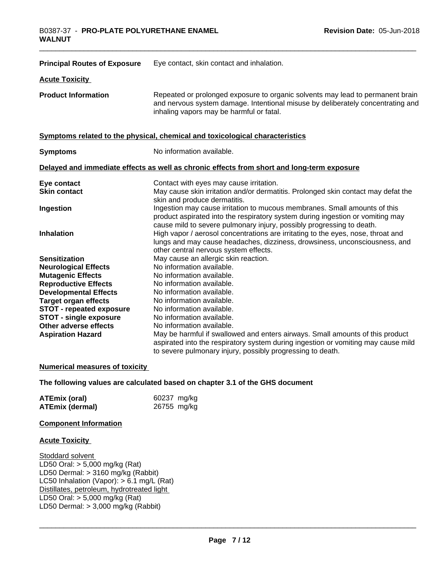| <b>Principal Routes of Exposure</b>                     | Eye contact, skin contact and inhalation.                                                                                                                                                                                            |
|---------------------------------------------------------|--------------------------------------------------------------------------------------------------------------------------------------------------------------------------------------------------------------------------------------|
| <b>Acute Toxicity</b>                                   |                                                                                                                                                                                                                                      |
| <b>Product Information</b>                              | Repeated or prolonged exposure to organic solvents may lead to permanent brain<br>and nervous system damage. Intentional misuse by deliberately concentrating and<br>inhaling vapors may be harmful or fatal.                        |
|                                                         | Symptoms related to the physical, chemical and toxicological characteristics                                                                                                                                                         |
| <b>Symptoms</b>                                         | No information available.                                                                                                                                                                                                            |
|                                                         | Delayed and immediate effects as well as chronic effects from short and long-term exposure                                                                                                                                           |
| Eye contact<br><b>Skin contact</b>                      | Contact with eyes may cause irritation.<br>May cause skin irritation and/or dermatitis. Prolonged skin contact may defat the<br>skin and produce dermatitis.                                                                         |
| Ingestion                                               | Ingestion may cause irritation to mucous membranes. Small amounts of this<br>product aspirated into the respiratory system during ingestion or vomiting may<br>cause mild to severe pulmonary injury, possibly progressing to death. |
| <b>Inhalation</b>                                       | High vapor / aerosol concentrations are irritating to the eyes, nose, throat and<br>lungs and may cause headaches, dizziness, drowsiness, unconsciousness, and<br>other central nervous system effects.                              |
| <b>Sensitization</b>                                    | May cause an allergic skin reaction.                                                                                                                                                                                                 |
| <b>Neurological Effects</b><br><b>Mutagenic Effects</b> | No information available.<br>No information available.                                                                                                                                                                               |
| <b>Reproductive Effects</b>                             | No information available.                                                                                                                                                                                                            |
| <b>Developmental Effects</b>                            | No information available.                                                                                                                                                                                                            |
| <b>Target organ effects</b>                             | No information available.                                                                                                                                                                                                            |
| <b>STOT - repeated exposure</b>                         | No information available.                                                                                                                                                                                                            |
| <b>STOT - single exposure</b>                           | No information available.                                                                                                                                                                                                            |
| <b>Other adverse effects</b>                            | No information available.                                                                                                                                                                                                            |
| <b>Aspiration Hazard</b>                                | May be harmful if swallowed and enters airways. Small amounts of this product<br>aspirated into the respiratory system during ingestion or vomiting may cause mild<br>to severe pulmonary injury, possibly progressing to death.     |

## **Numerical measures of toxicity**

## **The following values are calculated based on chapter 3.1 of the GHS document**

| <b>ATEmix (oral)</b>   | 60237 mg/kg |
|------------------------|-------------|
| <b>ATEmix (dermal)</b> | 26755 mg/kg |

## **Component Information**

#### **Acute Toxicity**

Stoddard solvent LD50 Oral: > 5,000 mg/kg (Rat) LD50 Dermal: > 3160 mg/kg (Rabbit) LC50 Inhalation (Vapor): > 6.1 mg/L (Rat) Distillates, petroleum, hydrotreated light LD50 Oral: > 5,000 mg/kg (Rat) LD50 Dermal:  $> 3,000$  mg/kg (Rabbit)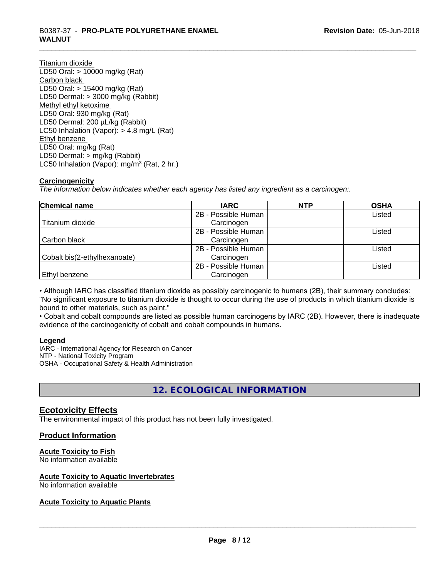# \_\_\_\_\_\_\_\_\_\_\_\_\_\_\_\_\_\_\_\_\_\_\_\_\_\_\_\_\_\_\_\_\_\_\_\_\_\_\_\_\_\_\_\_\_\_\_\_\_\_\_\_\_\_\_\_\_\_\_\_\_\_\_\_\_\_\_\_\_\_\_\_\_\_\_\_\_\_\_\_\_\_\_\_\_\_\_\_\_\_\_\_\_ B0387-37 - **PRO-PLATE POLYURETHANE ENAMEL WALNUT**

Titanium dioxide LD50 Oral: > 10000 mg/kg (Rat) Carbon black LD50 Oral: > 15400 mg/kg (Rat) LD50 Dermal: > 3000 mg/kg (Rabbit) Methyl ethyl ketoxime LD50 Oral: 930 mg/kg (Rat) LD50 Dermal: 200 µL/kg (Rabbit) LC50 Inhalation (Vapor): > 4.8 mg/L (Rat) Ethyl benzene LD50 Oral: mg/kg (Rat) LD50 Dermal: > mg/kg (Rabbit) LC50 Inhalation (Vapor): mg/m<sup>3</sup> (Rat, 2 hr.)

## **Carcinogenicity**

*The information below indicateswhether each agency has listed any ingredient as a carcinogen:.*

| Chemical name                | <b>IARC</b>         | <b>NTP</b> | <b>OSHA</b> |
|------------------------------|---------------------|------------|-------------|
|                              | 2B - Possible Human |            | Listed      |
| Titanium dioxide             | Carcinogen          |            |             |
|                              | 2B - Possible Human |            | Listed      |
| Carbon black                 | Carcinogen          |            |             |
|                              | 2B - Possible Human |            | Listed      |
| Cobalt bis(2-ethylhexanoate) | Carcinogen          |            |             |
|                              | 2B - Possible Human |            | Listed      |
| <b>Ethyl benzene</b>         | Carcinogen          |            |             |

• Although IARC has classified titanium dioxide as possibly carcinogenic to humans (2B), their summary concludes: "No significant exposure to titanium dioxide is thought to occur during the use of products in which titanium dioxide is bound to other materials, such as paint."

• Cobalt and cobalt compounds are listed as possible human carcinogens by IARC (2B). However, there is inadequate evidence of the carcinogenicity of cobalt and cobalt compounds in humans.

## **Legend**

IARC - International Agency for Research on Cancer NTP - National Toxicity Program OSHA - Occupational Safety & Health Administration

# **12. ECOLOGICAL INFORMATION**

## **Ecotoxicity Effects**

The environmental impact of this product has not been fully investigated.

## **Product Information**

## **Acute Toxicity to Fish**

No information available

## **Acute Toxicity to Aquatic Invertebrates**

No information available

## **Acute Toxicity to Aquatic Plants**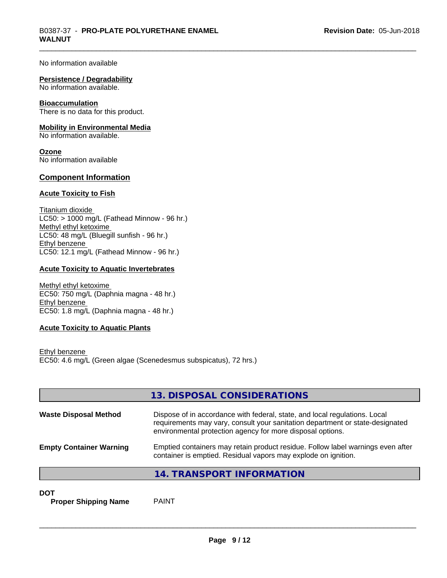No information available

#### **Persistence / Degradability**

No information available.

#### **Bioaccumulation**

There is no data for this product.

#### **Mobility in Environmental Media**

No information available.

**Ozone** No information available

## **Component Information**

## **Acute Toxicity to Fish**

Titanium dioxide  $LC50:$  > 1000 mg/L (Fathead Minnow - 96 hr.) Methyl ethyl ketoxime LC50: 48 mg/L (Bluegill sunfish - 96 hr.) Ethyl benzene LC50: 12.1 mg/L (Fathead Minnow - 96 hr.)

## **Acute Toxicity to Aquatic Invertebrates**

Methyl ethyl ketoxime EC50: 750 mg/L (Daphnia magna - 48 hr.) Ethyl benzene EC50: 1.8 mg/L (Daphnia magna - 48 hr.)

## **Acute Toxicity to Aquatic Plants**

Ethyl benzene EC50: 4.6 mg/L (Green algae (Scenedesmus subspicatus), 72 hrs.)

|                                | 13. DISPOSAL CONSIDERATIONS                                                                                                                                                                                               |
|--------------------------------|---------------------------------------------------------------------------------------------------------------------------------------------------------------------------------------------------------------------------|
| <b>Waste Disposal Method</b>   | Dispose of in accordance with federal, state, and local regulations. Local<br>requirements may vary, consult your sanitation department or state-designated<br>environmental protection agency for more disposal options. |
| <b>Empty Container Warning</b> | Emptied containers may retain product residue. Follow label warnings even after<br>container is emptied. Residual vapors may explode on ignition.                                                                         |
|                                | 14. TRANSPORT INFORMATION                                                                                                                                                                                                 |

**DOT**

**Proper Shipping Name** PAINT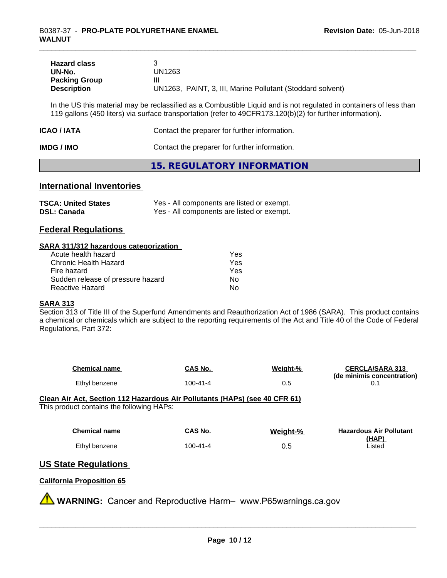| <b>Hazard class</b>  |                                                            |
|----------------------|------------------------------------------------------------|
| UN-No.               | UN1263                                                     |
| <b>Packing Group</b> | Ш                                                          |
| <b>Description</b>   | UN1263, PAINT, 3, III, Marine Pollutant (Stoddard solvent) |

In the US this material may be reclassified as a Combustible Liquid and is not regulated in containers of less than 119 gallons (450 liters) via surface transportation (refer to 49CFR173.120(b)(2) for further information).

| ICAO / IATA | Contact the preparer for further information. |
|-------------|-----------------------------------------------|
| IMDG / IMO  | Contact the preparer for further information. |

## **15. REGULATORY INFORMATION**

## **International Inventories**

| <b>TSCA: United States</b> | Yes - All components are listed or exempt. |
|----------------------------|--------------------------------------------|
| <b>DSL: Canada</b>         | Yes - All components are listed or exempt. |

## **Federal Regulations**

#### **SARA 311/312 hazardous categorization**

| Acute health hazard               | Yes |  |
|-----------------------------------|-----|--|
| Chronic Health Hazard             | Yes |  |
| Fire hazard                       | Yes |  |
| Sudden release of pressure hazard | Nο  |  |
| Reactive Hazard                   | Nο  |  |

#### **SARA 313**

Section 313 of Title III of the Superfund Amendments and Reauthorization Act of 1986 (SARA). This product contains a chemical or chemicals which are subject to the reporting requirements of the Act and Title 40 of the Code of Federal Regulations, Part 372:

| <b>Chemical name</b> | CAS No.  | Weight-% | <b>CERCLA/SARA 313</b><br>(de minimis concentration) |
|----------------------|----------|----------|------------------------------------------------------|
| Ethyl benzene        | 100-41-4 | U.J      |                                                      |

**Clean Air Act,Section 112 Hazardous Air Pollutants (HAPs) (see 40 CFR 61)** This product contains the following HAPs:

| <b>Chemical name</b> | CAS No.  | Weight-% | <b>Hazardous Air Pollutant</b> |
|----------------------|----------|----------|--------------------------------|
|                      |          |          | (HAP)                          |
| Ethyl benzene        | 100-41-4 | J.O      | Listed                         |

## **US State Regulations**

## **California Proposition 65**

**WARNING:** Cancer and Reproductive Harm– www.P65warnings.ca.gov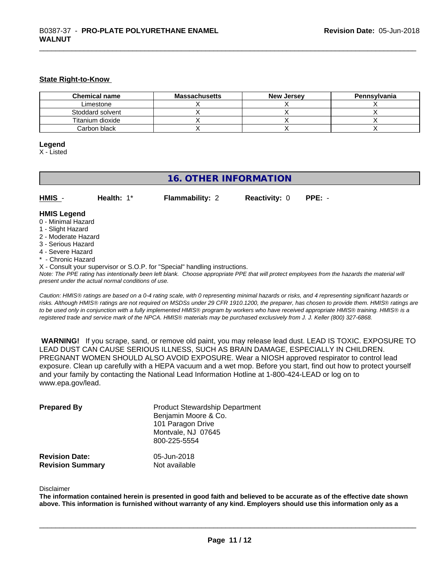#### **State Right-to-Know**

| <b>Chemical name</b> | <b>Massachusetts</b> | <b>New Jersey</b> | Pennsylvania |
|----------------------|----------------------|-------------------|--------------|
| Limestone            |                      |                   |              |
| Stoddard solvent     |                      |                   |              |
| Titanium dioxide     |                      |                   |              |
| Carbon black         |                      |                   |              |

## **Legend**

X - Listed

## **16. OTHER INFORMATION**

| HMIS | Health: $1^*$ | <b>Flammability: 2</b> | <b>Reactivity: 0 PPE: -</b> |  |
|------|---------------|------------------------|-----------------------------|--|
|      |               |                        |                             |  |

## **HMIS Legend**

- 0 Minimal Hazard
- 1 Slight Hazard
- 2 Moderate Hazard
- 3 Serious Hazard
- 4 Severe Hazard
- \* Chronic Hazard
- X Consult your supervisor or S.O.P. for "Special" handling instructions.

*Note: The PPE rating has intentionally been left blank. Choose appropriate PPE that will protect employees from the hazards the material will present under the actual normal conditions of use.*

*Caution: HMISÒ ratings are based on a 0-4 rating scale, with 0 representing minimal hazards or risks, and 4 representing significant hazards or risks. Although HMISÒ ratings are not required on MSDSs under 29 CFR 1910.1200, the preparer, has chosen to provide them. HMISÒ ratings are to be used only in conjunction with a fully implemented HMISÒ program by workers who have received appropriate HMISÒ training. HMISÒ is a registered trade and service mark of the NPCA. HMISÒ materials may be purchased exclusively from J. J. Keller (800) 327-6868.*

 **WARNING!** If you scrape, sand, or remove old paint, you may release lead dust. LEAD IS TOXIC. EXPOSURE TO LEAD DUST CAN CAUSE SERIOUS ILLNESS, SUCH AS BRAIN DAMAGE, ESPECIALLY IN CHILDREN. PREGNANT WOMEN SHOULD ALSO AVOID EXPOSURE. Wear a NIOSH approved respirator to control lead exposure. Clean up carefully with a HEPA vacuum and a wet mop. Before you start, find out how to protect yourself and your family by contacting the National Lead Information Hotline at 1-800-424-LEAD or log on to www.epa.gov/lead.

| <b>Prepared By</b>      | <b>Product Stewardship Department</b><br>Benjamin Moore & Co.<br>101 Paragon Drive<br>Montvale, NJ 07645<br>800-225-5554 |
|-------------------------|--------------------------------------------------------------------------------------------------------------------------|
| <b>Revision Date:</b>   | 05-Jun-2018                                                                                                              |
| <b>Revision Summary</b> | Not available                                                                                                            |

#### Disclaimer

The information contained herein is presented in good faith and believed to be accurate as of the effective date shown above. This information is furnished without warranty of any kind. Employers should use this information only as a